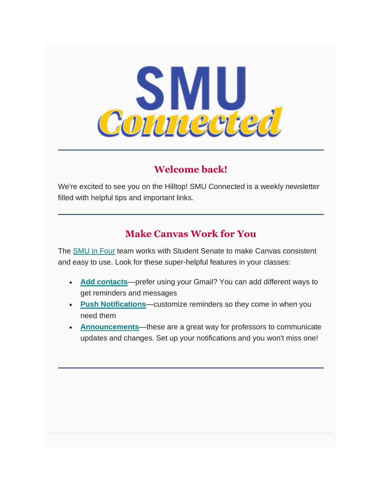

# **Welcome back!**

We're excited to see you on the Hilltop! SMU Connected is a weekly newsletter filled with helpful tips and important links.

# **Make Canvas Work for You**

The [SMU in Four](https://www.smu.edu/Provost/ProvostOffice/SAES/AcademicInitiatives) team works with Student Senate to make Canvas consistent and easy to use. Look for these super-helpful features in your classes:

- **[Add contacts](https://community.canvaslms.com/t5/Student-Guide/How-do-I-add-contact-methods-to-receive-Canvas-notifications-as/ta-p/516)**—prefer using your Gmail? You can add different ways to get reminders and messages
- **[Push Notifications](https://community.canvaslms.com/t5/Student-Guide/How-do-I-set-my-Canvas-notification-preferences-as-a-student/ta-p/434)**—customize reminders so they come in when you need them
- **[Announcements](https://community.canvaslms.com/t5/Student-Guide/How-do-I-view-Announcements-as-a-student/ta-p/417)**—these are a great way for professors to communicate updates and changes. Set up your notifications and you won't miss one!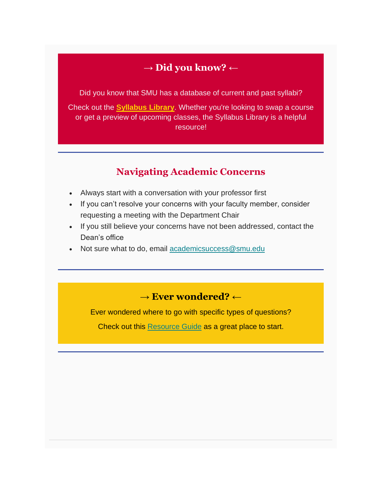### → **Did you know?** ←

Did you know that SMU has a database of current and past syllabi?

Check out the **[Syllabus Library](https://sites.smu.edu/des/syllabus/)**. Whether you're looking to swap a course or get a preview of upcoming classes, the Syllabus Library is a helpful resource!

### **Navigating Academic Concerns**

- Always start with a conversation with your professor first
- If you can't resolve your concerns with your faculty member, consider requesting a meeting with the Department Chair
- If you still believe your concerns have not been addressed, contact the Dean's office
- Not sure what to do, email [academicsuccess@smu.edu](mailto:academicsuccess@smu.edu)

## → **Ever wondered?** ←

Ever wondered where to go with specific types of questions?

Check out this [Resource Guide](https://www.smu.edu/StudentAffairs/GetHelp) as a great place to start.